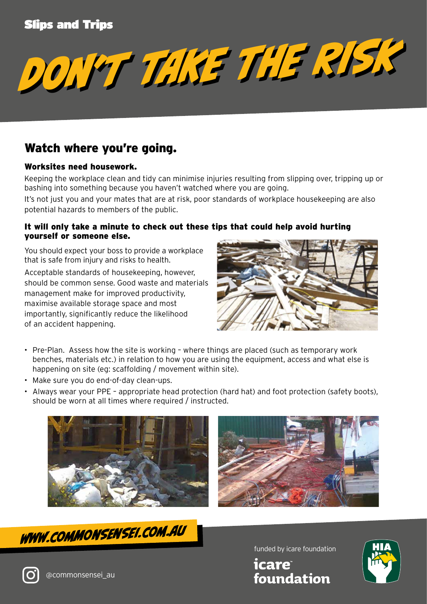### Slips and Trips

*DON'T TAKE THE RISK DON'T TAKE THE RISK*

# Watch where you're going.

#### Worksites need housework.

Keeping the workplace clean and tidy can minimise injuries resulting from slipping over, tripping up or bashing into something because you haven't watched where you are going.

It's not just you and your mates that are at risk, poor standards of workplace housekeeping are also potential hazards to members of the public.

#### It will only take a minute to check out these tips that could help avoid hurting yourself or someone else.

You should expect your boss to provide a workplace that is safe from injury and risks to health.

Acceptable standards of housekeeping, however, should be common sense. Good waste and materials management make for improved productivity, maximise available storage space and most importantly, significantly reduce the likelihood of an accident happening.



- Pre-Plan. Assess how the site is working where things are placed (such as temporary work benches, materials etc.) in relation to how you are using the equipment, access and what else is happening on site (eg: scaffolding / movement within site).
- Make sure you do end-of-day clean-ups.
- Always wear your PPE appropriate head protection (hard hat) and foot protection (safety boots), should be worn at all times where required / instructed.







funded by icare foundation

*icare* foundation